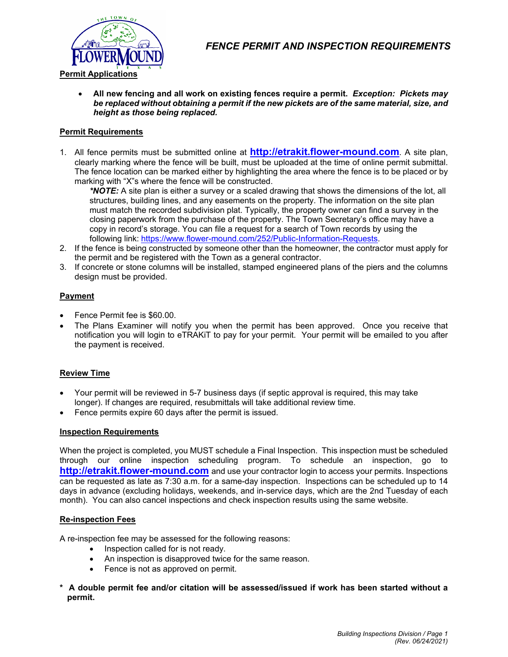

 **All new fencing and all work on existing fences require a permit.** *Exception: Pickets may be replaced without obtaining a permit if the new pickets are of the same material, size, and height as those being replaced.* 

# **Permit Requirements**

1. All fence permits must be submitted online at **http://etrakit.flower-mound.com**. A site plan, clearly marking where the fence will be built, must be uploaded at the time of online permit submittal. The fence location can be marked either by highlighting the area where the fence is to be placed or by marking with "X"s where the fence will be constructed.

*\*NOTE:* A site plan is either a survey or a scaled drawing that shows the dimensions of the lot, all structures, building lines, and any easements on the property. The information on the site plan must match the recorded subdivision plat. Typically, the property owner can find a survey in the closing paperwork from the purchase of the property. The Town Secretary's office may have a copy in record's storage. You can file a request for a search of Town records by using the following link: https://www.flower-mound.com/252/Public-Information-Requests.

- 2. If the fence is being constructed by someone other than the homeowner, the contractor must apply for the permit and be registered with the Town as a general contractor.
- 3. If concrete or stone columns will be installed, stamped engineered plans of the piers and the columns design must be provided.

# **Payment**

- Fence Permit fee is \$60.00.
- The Plans Examiner will notify you when the permit has been approved. Once you receive that notification you will login to eTRAKiT to pay for your permit. Your permit will be emailed to you after the payment is received.

## **Review Time**

- Your permit will be reviewed in 5-7 business days (if septic approval is required, this may take longer). If changes are required, resubmittals will take additional review time.
- Fence permits expire 60 days after the permit is issued.

## **Inspection Requirements**

When the project is completed, you MUST schedule a Final Inspection. This inspection must be scheduled through our online inspection scheduling program. To schedule an inspection, go to **http://etrakit.flower-mound.com** and use your contractor login to access your permits. Inspections can be requested as late as 7:30 a.m. for a same-day inspection. Inspections can be scheduled up to 14 days in advance (excluding holidays, weekends, and in-service days, which are the 2nd Tuesday of each month). You can also cancel inspections and check inspection results using the same website.

## **Re-inspection Fees**

A re-inspection fee may be assessed for the following reasons:

- Inspection called for is not ready.
- An inspection is disapproved twice for the same reason.
- Fence is not as approved on permit.
- **\* A double permit fee and/or citation will be assessed/issued if work has been started without a permit.**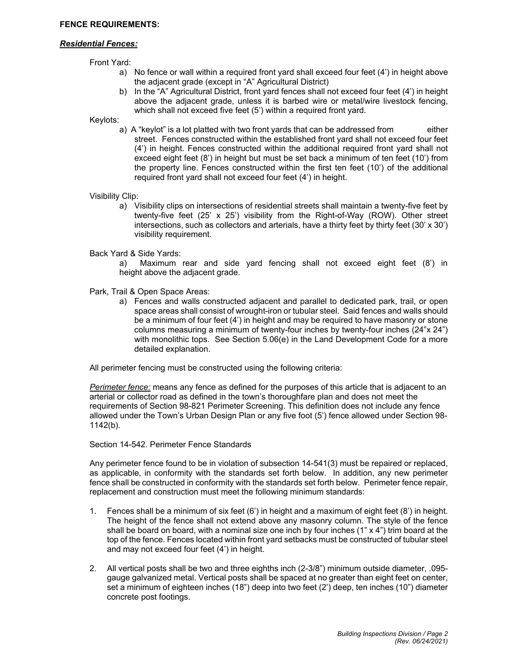## *Residential Fences:*

Front Yard:

- a) No fence or wall within a required front yard shall exceed four feet (4') in height above the adjacent grade (except in "A" Agricultural District)
- b) In the "A" Agricultural District, front yard fences shall not exceed four feet (4') in height above the adjacent grade, unless it is barbed wire or metal/wire livestock fencing, which shall not exceed five feet (5') within a required front yard.

Keylots:

a) A "keylot" is a lot platted with two front yards that can be addressed from either street. Fences constructed within the established front yard shall not exceed four feet (4') in height. Fences constructed within the additional required front yard shall not exceed eight feet (8') in height but must be set back a minimum of ten feet (10') from the property line. Fences constructed within the first ten feet (10') of the additional required front yard shall not exceed four feet (4') in height.

Visibility Clip:

a) Visibility clips on intersections of residential streets shall maintain a twenty-five feet by twenty-five feet (25' x 25') visibility from the Right-of-Way (ROW). Other street intersections, such as collectors and arterials, have a thirty feet by thirty feet (30' x 30') visibility requirement.

Back Yard & Side Yards:

a) Maximum rear and side yard fencing shall not exceed eight feet (8') in height above the adjacent grade.

Park, Trail & Open Space Areas:

a) Fences and walls constructed adjacent and parallel to dedicated park, trail, or open space areas shall consist of wrought-iron or tubular steel. Said fences and walls should be a minimum of four feet (4') in height and may be required to have masonry or stone columns measuring a minimum of twenty-four inches by twenty-four inches (24"x 24") with monolithic tops. See Section 5.06(e) in the Land Development Code for a more detailed explanation.

All perimeter fencing must be constructed using the following criteria:

*Perimeter fence:* means any fence as defined for the purposes of this article that is adjacent to an arterial or collector road as defined in the town's thoroughfare plan and does not meet the requirements of Section 98-821 Perimeter Screening. This definition does not include any fence allowed under the Town's Urban Design Plan or any five foot (5') fence allowed under Section 98- 1142(b).

#### Section 14-542. Perimeter Fence Standards

Any perimeter fence found to be in violation of subsection 14-541(3) must be repaired or replaced, as applicable, in conformity with the standards set forth below. In addition, any new perimeter fence shall be constructed in conformity with the standards set forth below. Perimeter fence repair, replacement and construction must meet the following minimum standards:

- 1. Fences shall be a minimum of six feet (6') in height and a maximum of eight feet (8') in height. The height of the fence shall not extend above any masonry column. The style of the fence shall be board on board, with a nominal size one inch by four inches  $(1" \times 4")$  trim board at the top of the fence. Fences located within front yard setbacks must be constructed of tubular steel and may not exceed four feet (4') in height.
- 2. All vertical posts shall be two and three eighths inch (2-3/8") minimum outside diameter, .095 gauge galvanized metal. Vertical posts shall be spaced at no greater than eight feet on center, set a minimum of eighteen inches (18") deep into two feet (2') deep, ten inches (10") diameter concrete post footings.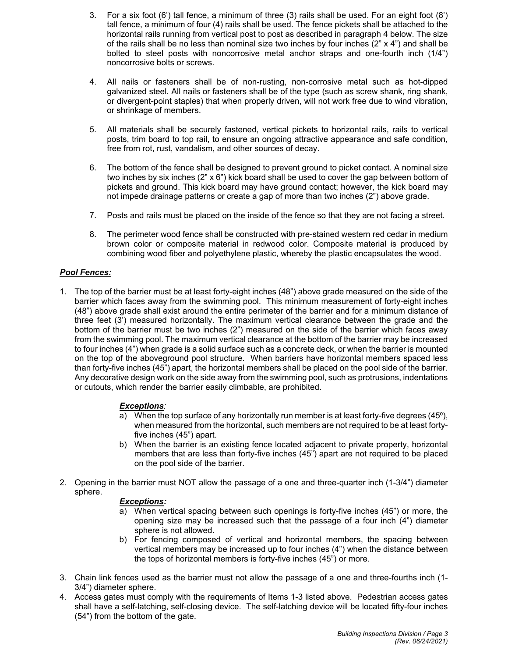- 3. For a six foot (6') tall fence, a minimum of three (3) rails shall be used. For an eight foot (8') tall fence, a minimum of four (4) rails shall be used. The fence pickets shall be attached to the horizontal rails running from vertical post to post as described in paragraph 4 below. The size of the rails shall be no less than nominal size two inches by four inches  $(2" \times 4")$  and shall be bolted to steel posts with noncorrosive metal anchor straps and one-fourth inch (1/4") noncorrosive bolts or screws.
- 4. All nails or fasteners shall be of non-rusting, non-corrosive metal such as hot-dipped galvanized steel. All nails or fasteners shall be of the type (such as screw shank, ring shank, or divergent-point staples) that when properly driven, will not work free due to wind vibration, or shrinkage of members.
- 5. All materials shall be securely fastened, vertical pickets to horizontal rails, rails to vertical posts, trim board to top rail, to ensure an ongoing attractive appearance and safe condition, free from rot, rust, vandalism, and other sources of decay.
- 6. The bottom of the fence shall be designed to prevent ground to picket contact. A nominal size two inches by six inches (2" x 6") kick board shall be used to cover the gap between bottom of pickets and ground. This kick board may have ground contact; however, the kick board may not impede drainage patterns or create a gap of more than two inches (2") above grade.
- 7. Posts and rails must be placed on the inside of the fence so that they are not facing a street.
- 8. The perimeter wood fence shall be constructed with pre-stained western red cedar in medium brown color or composite material in redwood color. Composite material is produced by combining wood fiber and polyethylene plastic, whereby the plastic encapsulates the wood.

# *Pool Fences:*

1. The top of the barrier must be at least forty-eight inches (48") above grade measured on the side of the barrier which faces away from the swimming pool. This minimum measurement of forty-eight inches (48") above grade shall exist around the entire perimeter of the barrier and for a minimum distance of three feet (3') measured horizontally. The maximum vertical clearance between the grade and the bottom of the barrier must be two inches (2") measured on the side of the barrier which faces away from the swimming pool. The maximum vertical clearance at the bottom of the barrier may be increased to four inches (4") when grade is a solid surface such as a concrete deck, or when the barrier is mounted on the top of the aboveground pool structure. When barriers have horizontal members spaced less than forty-five inches (45") apart, the horizontal members shall be placed on the pool side of the barrier. Any decorative design work on the side away from the swimming pool, such as protrusions, indentations or cutouts, which render the barrier easily climbable, are prohibited.

## *Exceptions:*

- a) When the top surface of any horizontally run member is at least forty-five degrees  $(45^{\circ})$ , when measured from the horizontal, such members are not required to be at least fortyfive inches (45") apart.
- b) When the barrier is an existing fence located adjacent to private property, horizontal members that are less than forty-five inches (45") apart are not required to be placed on the pool side of the barrier.
- 2. Opening in the barrier must NOT allow the passage of a one and three-quarter inch (1-3/4") diameter sphere.

## *Exceptions:*

- a) When vertical spacing between such openings is forty-five inches (45") or more, the opening size may be increased such that the passage of a four inch (4") diameter sphere is not allowed.
- b) For fencing composed of vertical and horizontal members, the spacing between vertical members may be increased up to four inches (4") when the distance between the tops of horizontal members is forty-five inches (45") or more.
- 3. Chain link fences used as the barrier must not allow the passage of a one and three-fourths inch (1- 3/4") diameter sphere.
- 4. Access gates must comply with the requirements of Items 1-3 listed above. Pedestrian access gates shall have a self-latching, self-closing device. The self-latching device will be located fifty-four inches (54") from the bottom of the gate.